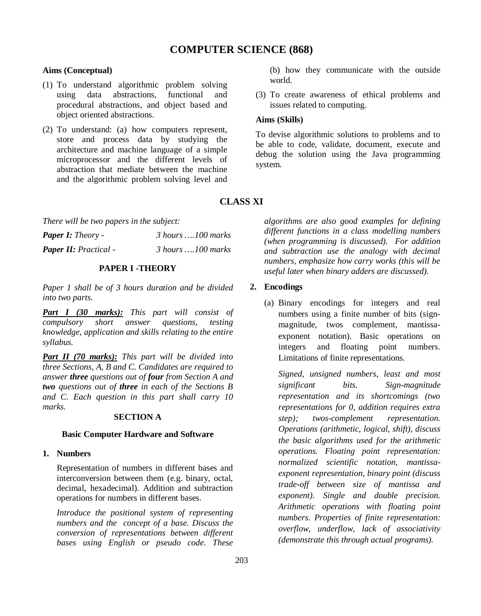# **Aims (Conceptual)**

- (1) To understand algorithmic problem solving using data abstractions, functional and procedural abstractions, and object based and object oriented abstractions.
- (2) To understand: (a) how computers represent, store and process data by studying the architecture and machine language of a simple microprocessor and the different levels of abstraction that mediate between the machine and the algorithmic problem solving level and
- (b) how they communicate with the outside world.
- (3) To create awareness of ethical problems and issues related to computing.

# **Aims (Skills)**

To devise algorithmic solutions to problems and to be able to code, validate, document, execute and debug the solution using the Java programming system.

# **CLASS XI**

*There will be two papers in the subject:*

| <b>Paper I:</b> Theory -     | $3$ hours  100 marks |
|------------------------------|----------------------|
| <b>Paper II:</b> Practical - | $3$ hours  100 marks |

# **PAPER I -THEORY**

*Paper 1 shall be of 3 hours duration and be divided into two parts.*

*Part I (30 marks): This part will consist of compulsory short answer questions, testing knowledge, application and skills relating to the entire syllabus.*

*Part II (70 marks): This part will be divided into three Sections, A, B and C. Candidates are required to answer three questions out of four from Section A and two questions out of three in each of the Sections B and C. Each question in this part shall carry 10 marks.*

# **SECTION A**

## **Basic Computer Hardware and Software**

# **1. Numbers**

Representation of numbers in different bases and interconversion between them (e.g. binary, octal, decimal, hexadecimal). Addition and subtraction operations for numbers in different bases.

*Introduce the positional system of representing numbers and the concept of a base. Discuss the conversion of representations between different bases using English or pseudo code. These*  *algorithms are also good examples for defining different functions in a class modelling numbers (when programming is discussed). For addition and subtraction use the analogy with decimal numbers, emphasize how carry works (this will be useful later when binary adders are discussed).*

# **2. Encodings**

(a) Binary encodings for integers and real numbers using a finite number of bits (signmagnitude, twos complement, mantissaexponent notation). Basic operations on integers and floating point numbers. Limitations of finite representations.

*Signed, unsigned numbers, least and most significant bits. Sign-magnitude representation and its shortcomings (two representations for 0, addition requires extra step); twos-complement representation. Operations (arithmetic, logical, shift), discuss the basic algorithms used for the arithmetic operations. Floating point representation: normalized scientific notation, mantissaexponent representation, binary point (discuss trade-off between size of mantissa and exponent). Single and double precision. Arithmetic operations with floating point numbers. Properties of finite representation: overflow, underflow, lack of associativity (demonstrate this through actual programs).*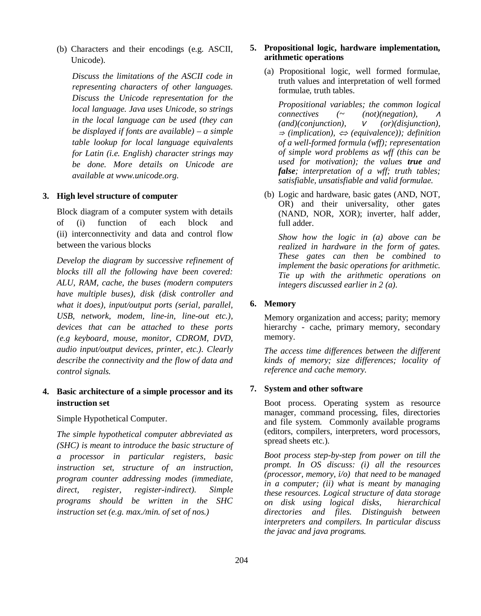(b) Characters and their encodings (e.g. ASCII, Unicode).

*Discuss the limitations of the ASCII code in representing characters of other languages. Discuss the Unicode representation for the local language. Java uses Unicode, so strings in the local language can be used (they can be displayed if fonts are available) – a simple table lookup for local language equivalents for Latin (i.e. English) character strings may be done. More details on Unicode are available at www.unicode.org.*

#### **3. High level structure of computer**

Block diagram of a computer system with details of (i) function of each block and (ii) interconnectivity and data and control flow between the various blocks

*Develop the diagram by successive refinement of blocks till all the following have been covered: ALU, RAM, cache, the buses (modern computers have multiple buses), disk (disk controller and what it does), input/output ports (serial, parallel, USB, network, modem, line-in, line-out etc.), devices that can be attached to these ports (e.g keyboard, mouse, monitor, CDROM, DVD, audio input/output devices, printer, etc.). Clearly describe the connectivity and the flow of data and control signals.*

# **4. Basic architecture of a simple processor and its instruction set**

Simple Hypothetical Computer.

*The simple hypothetical computer abbreviated as (SHC) is meant to introduce the basic structure of a processor in particular registers, basic instruction set, structure of an instruction, program counter addressing modes (immediate, direct, register, register-indirect). Simple programs should be written in the SHC instruction set (e.g. max./min. of set of nos.)*

## **5. Propositional logic, hardware implementation, arithmetic operations**

(a) Propositional logic, well formed formulae, truth values and interpretation of well formed formulae, truth tables.

*Propositional variables; the common logical connectives (~ (not)(negation), <sup>∧</sup> (and)(conjunction), ∨ (or)(disjunction), <sup>⇒</sup> (implication), (equivalence)); definition of a well-formed formula (wff); representation of simple word problems as wff (this can be used for motivation); the values true and false; interpretation of a wff; truth tables; satisfiable, unsatisfiable and valid formulae.* 

(b) Logic and hardware, basic gates (AND, NOT, OR) and their universality, other gates (NAND, NOR, XOR); inverter, half adder, full adder.

*Show how the logic in (a) above can be realized in hardware in the form of gates. These gates can then be combined to implement the basic operations for arithmetic. Tie up with the arithmetic operations on integers discussed earlier in 2 (a).*

#### **6. Memory**

Memory organization and access; parity; memory hierarchy - cache, primary memory, secondary memory.

*The access time differences between the different kinds of memory; size differences; locality of reference and cache memory.*

## **7. System and other software**

Boot process. Operating system as resource manager, command processing, files, directories and file system. Commonly available programs (editors, compilers, interpreters, word processors, spread sheets etc.).

*Boot process step-by-step from power on till the prompt. In OS discuss: (i) all the resources (processor, memory, i/o) that need to be managed in a computer; (ii) what is meant by managing these resources. Logical structure of data storage on disk using logical disks, hierarchical directories and files. Distinguish between interpreters and compilers. In particular discuss the javac and java programs.*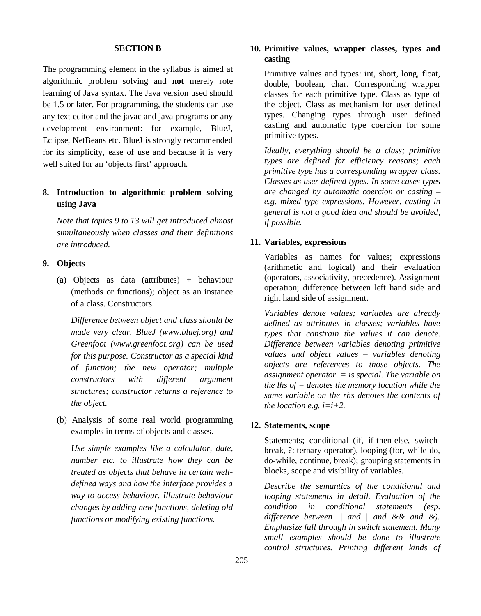## **SECTION B**

The programming element in the syllabus is aimed at algorithmic problem solving and **not** merely rote learning of Java syntax. The Java version used should be 1.5 or later. For programming, the students can use any text editor and the javac and java programs or any development environment: for example, BlueJ, Eclipse, NetBeans etc. BlueJ is strongly recommended for its simplicity, ease of use and because it is very well suited for an 'objects first' approach.

# **8. Introduction to algorithmic problem solving using Java**

*Note that topics 9 to 13 will get introduced almost simultaneously when classes and their definitions are introduced.*

## **9. Objects**

(a) Objects as data (attributes) + behaviour (methods or functions); object as an instance of a class. Constructors.

*Difference between object and class should be made very clear. BlueJ (www.bluej.org) and Greenfoot (www.greenfoot.org) can be used for this purpose. Constructor as a special kind of function; the new operator; multiple constructors with different argument structures; constructor returns a reference to the object.*

(b) Analysis of some real world programming examples in terms of objects and classes.

*Use simple examples like a calculator, date, number etc. to illustrate how they can be treated as objects that behave in certain welldefined ways and how the interface provides a way to access behaviour. Illustrate behaviour changes by adding new functions, deleting old functions or modifying existing functions.*

# **10. Primitive values, wrapper classes, types and casting**

Primitive values and types: int, short, long, float, double, boolean, char. Corresponding wrapper classes for each primitive type. Class as type of the object. Class as mechanism for user defined types. Changing types through user defined casting and automatic type coercion for some primitive types.

*Ideally, everything should be a class; primitive types are defined for efficiency reasons; each primitive type has a corresponding wrapper class. Classes as user defined types. In some cases types are changed by automatic coercion or casting – e.g. mixed type expressions. However, casting in general is not a good idea and should be avoided, if possible.*

#### **11. Variables, expressions**

Variables as names for values; expressions (arithmetic and logical) and their evaluation (operators, associativity, precedence). Assignment operation; difference between left hand side and right hand side of assignment.

*Variables denote values; variables are already defined as attributes in classes; variables have types that constrain the values it can denote. Difference between variables denoting primitive values and object values – variables denoting objects are references to those objects. The assignment operator = is special. The variable on the lhs of = denotes the memory location while the same variable on the rhs denotes the contents of the location e.g. i=i+2.*

### **12. Statements, scope**

Statements; conditional (if, if-then-else, switchbreak, ?: ternary operator), looping (for, while-do, do-while, continue, break); grouping statements in blocks, scope and visibility of variables.

*Describe the semantics of the conditional and looping statements in detail. Evaluation of the condition in conditional statements (esp. difference between || and | and && and &). Emphasize fall through in switch statement. Many small examples should be done to illustrate control structures. Printing different kinds of*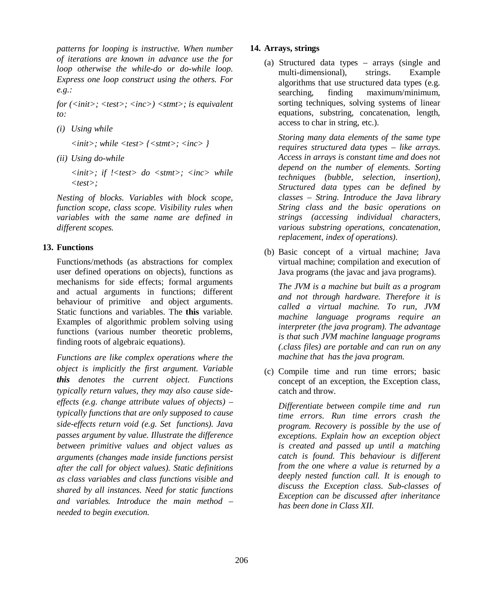*patterns for looping is instructive. When number of iterations are known in advance use the for loop otherwise the while-do or do-while loop. Express one loop construct using the others. For e.g.:*

*for (<init>; <test>; <inc>) <stmt>; is equivalent to:*

*(i) Using while*

*<init>; while <test> {<stmt>; <inc> }*

*(ii) Using do-while*

*<init>; if !<test> do <stmt>; <inc> while <test>;*

*Nesting of blocks. Variables with block scope, function scope, class scope. Visibility rules when variables with the same name are defined in different scopes.*

### **13. Functions**

Functions/methods (as abstractions for complex user defined operations on objects), functions as mechanisms for side effects; formal arguments and actual arguments in functions; different behaviour of primitive and object arguments. Static functions and variables. The **this** variable. Examples of algorithmic problem solving using functions (various number theoretic problems, finding roots of algebraic equations).

*Functions are like complex operations where the object is implicitly the first argument. Variable this denotes the current object. Functions typically return values, they may also cause sideeffects (e.g. change attribute values of objects) – typically functions that are only supposed to cause side-effects return void (e.g. Set functions). Java passes argument by value. Illustrate the difference between primitive values and object values as arguments (changes made inside functions persist after the call for object values). Static definitions as class variables and class functions visible and shared by all instances. Need for static functions and variables. Introduce the main method – needed to begin execution.* 

## **14. Arrays, strings**

(a) Structured data types – arrays (single and multi-dimensional), strings. Example algorithms that use structured data types (e.g. searching, finding maximum/minimum, sorting techniques, solving systems of linear equations, substring, concatenation, length, access to char in string, etc.).

*Storing many data elements of the same type requires structured data types – like arrays. Access in arrays is constant time and does not depend on the number of elements. Sorting techniques (bubble, selection, insertion), Structured data types can be defined by classes – String. Introduce the Java library String class and the basic operations on strings (accessing individual characters, various substring operations, concatenation, replacement, index of operations).*

(b) Basic concept of a virtual machine; Java virtual machine; compilation and execution of Java programs (the javac and java programs).

*The JVM is a machine but built as a program and not through hardware. Therefore it is called a virtual machine. To run, JVM machine language programs require an interpreter (the java program). The advantage is that such JVM machine language programs (.class files) are portable and can run on any machine that has the java program.*

(c) Compile time and run time errors; basic concept of an exception, the Exception class, catch and throw.

*Differentiate between compile time and run time errors. Run time errors crash the program. Recovery is possible by the use of exceptions. Explain how an exception object is created and passed up until a matching catch is found. This behaviour is different from the one where a value is returned by a deeply nested function call. It is enough to discuss the Exception class. Sub-classes of Exception can be discussed after inheritance has been done in Class XII.*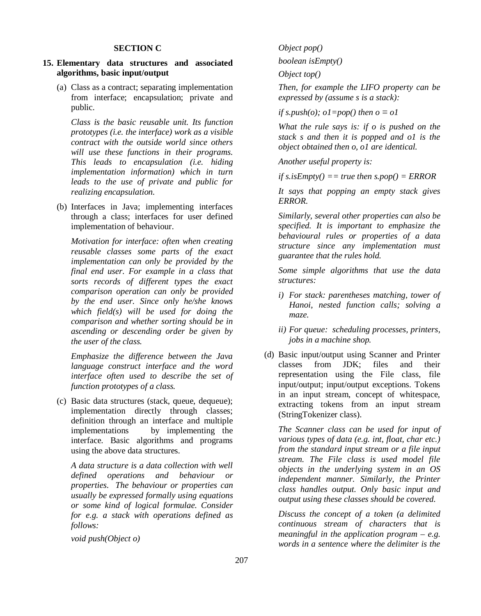#### **SECTION C**

## **15. Elementary data structures and associated algorithms, basic input/output**

(a) Class as a contract; separating implementation from interface; encapsulation; private and public.

*Class is the basic reusable unit. Its function prototypes (i.e. the interface) work as a visible contract with the outside world since others will use these functions in their programs. This leads to encapsulation (i.e. hiding implementation information) which in turn leads to the use of private and public for realizing encapsulation.*

(b) Interfaces in Java; implementing interfaces through a class; interfaces for user defined implementation of behaviour.

*Motivation for interface: often when creating reusable classes some parts of the exact implementation can only be provided by the final end user. For example in a class that sorts records of different types the exact comparison operation can only be provided by the end user. Since only he/she knows which field(s) will be used for doing the comparison and whether sorting should be in ascending or descending order be given by the user of the class.*

*Emphasize the difference between the Java language construct interface and the word interface often used to describe the set of function prototypes of a class.*

(c) Basic data structures (stack, queue, dequeue); implementation directly through classes; definition through an interface and multiple implementations by implementing the interface. Basic algorithms and programs using the above data structures.

*A data structure is a data collection with well defined operations and behaviour or properties. The behaviour or properties can usually be expressed formally using equations or some kind of logical formulae. Consider for e.g. a stack with operations defined as follows:*

*void push(Object o)*

*Object pop()*

*boolean isEmpty()*

*Object top()*

*Then, for example the LIFO property can be expressed by (assume s is a stack):*

*if s.push(o); o1=pop() then o*  $\equiv$  *o1* 

*What the rule says is: if o is pushed on the stack s and then it is popped and o1 is the object obtained then o, o1 are identical.*

*Another useful property is:*

*if s.isEmpty() == true then s.pop() = ERROR*

*It says that popping an empty stack gives ERROR.*

*Similarly, several other properties can also be specified. It is important to emphasize the behavioural rules or properties of a data structure since any implementation must guarantee that the rules hold.*

*Some simple algorithms that use the data structures:*

- *i) For stack: parentheses matching, tower of Hanoi, nested function calls; solving a maze.*
- *ii) For queue: scheduling processes, printers, jobs in a machine shop.*
- (d) Basic input/output using Scanner and Printer classes from JDK; files and their representation using the File class, file input/output; input/output exceptions. Tokens in an input stream, concept of whitespace, extracting tokens from an input stream (StringTokenizer class).

*The Scanner class can be used for input of various types of data (e.g. int, float, char etc.) from the standard input stream or a file input stream. The File class is used model file objects in the underlying system in an OS independent manner. Similarly, the Printer class handles output. Only basic input and output using these classes should be covered.*

*Discuss the concept of a token (a delimited continuous stream of characters that is meaningful in the application program – e.g. words in a sentence where the delimiter is the*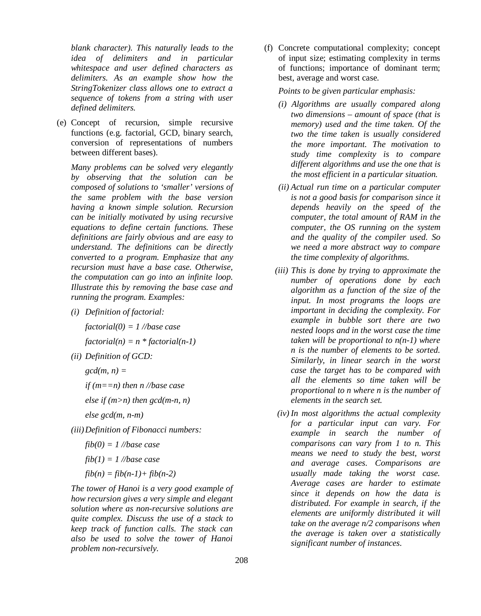*blank character). This naturally leads to the idea of delimiters and in particular whitespace and user defined characters as delimiters. As an example show how the StringTokenizer class allows one to extract a sequence of tokens from a string with user defined delimiters.* 

(e) Concept of recursion, simple recursive functions (e.g. factorial, GCD, binary search, conversion of representations of numbers between different bases).

*Many problems can be solved very elegantly by observing that the solution can be composed of solutions to 'smaller' versions of the same problem with the base version having a known simple solution. Recursion can be initially motivated by using recursive equations to define certain functions. These definitions are fairly obvious and are easy to understand. The definitions can be directly converted to a program. Emphasize that any recursion must have a base case. Otherwise, the computation can go into an infinite loop. Illustrate this by removing the base case and running the program. Examples:*

*(i) Definition of factorial:*

*factorial(0) = 1 //base case*

*factorial(n) = n \* factorial(n-1)*

*(ii) Definition of GCD:*

*gcd(m, n) =* 

*if (m==n) then n //base case*

*else if (m>n) then gcd(m-n, n)*

*else gcd(m, n-m)*

*(iii)Definition of Fibonacci numbers:*

*fib(0) = 1 //base case*

$$
fib(1) = 1 // base case
$$

$$
fib(n) = fib(n-1) + fib(n-2)
$$

*The tower of Hanoi is a very good example of how recursion gives a very simple and elegant solution where as non-recursive solutions are quite complex. Discuss the use of a stack to keep track of function calls. The stack can also be used to solve the tower of Hanoi problem non-recursively.*

(f) Concrete computational complexity; concept of input size; estimating complexity in terms of functions; importance of dominant term; best, average and worst case.

*Points to be given particular emphasis:*

- *(i) Algorithms are usually compared along two dimensions – amount of space (that is memory) used and the time taken. Of the two the time taken is usually considered the more important. The motivation to study time complexity is to compare different algorithms and use the one that is the most efficient in a particular situation.*
- *(ii) Actual run time on a particular computer is not a good basis for comparison since it depends heavily on the speed of the computer, the total amount of RAM in the computer, the OS running on the system and the quality of the compiler used. So we need a more abstract way to compare the time complexity of algorithms.*
- *(iii) This is done by trying to approximate the number of operations done by each algorithm as a function of the size of the input. In most programs the loops are important in deciding the complexity. For example in bubble sort there are two nested loops and in the worst case the time taken will be proportional to n(n-1) where n is the number of elements to be sorted. Similarly, in linear search in the worst case the target has to be compared with all the elements so time taken will be proportional to n where n is the number of elements in the search set.*
- *(iv) In most algorithms the actual complexity for a particular input can vary. For example in search the number of comparisons can vary from 1 to n. This means we need to study the best, worst and average cases. Comparisons are usually made taking the worst case. Average cases are harder to estimate since it depends on how the data is distributed. For example in search, if the elements are uniformly distributed it will take on the average n/2 comparisons when the average is taken over a statistically significant number of instances.*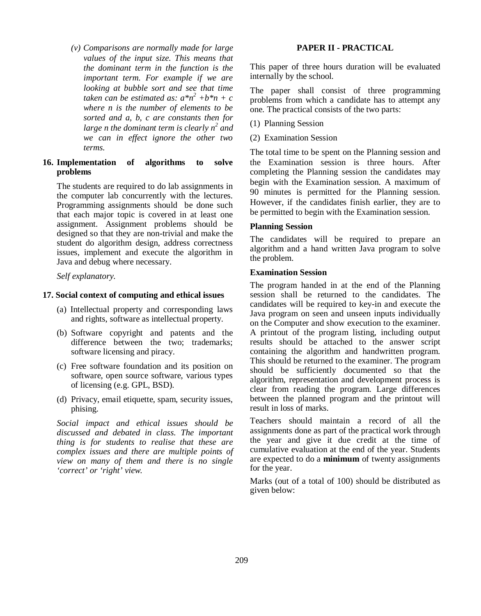*(v) Comparisons are normally made for large values of the input size. This means that the dominant term in the function is the important term. For example if we are looking at bubble sort and see that time taken can be estimated as:*  $a^*n^2 + b^*n + c$ *where n is the number of elements to be sorted and a, b, c are constants then for large n the dominant term is clearly n<sup>2</sup> and we can in effect ignore the other two terms.*

## **16. Implementation of algorithms to solve problems**

The students are required to do lab assignments in the computer lab concurrently with the lectures. Programming assignments should be done such that each major topic is covered in at least one assignment. Assignment problems should be designed so that they are non-trivial and make the student do algorithm design, address correctness issues, implement and execute the algorithm in Java and debug where necessary.

*Self explanatory.*

# **17. Social context of computing and ethical issues**

- (a) Intellectual property and corresponding laws and rights, software as intellectual property.
- (b) Software copyright and patents and the difference between the two; trademarks; software licensing and piracy.
- (c) Free software foundation and its position on software, open source software, various types of licensing (e.g. GPL, BSD).
- (d) Privacy, email etiquette, spam, security issues, phising.

*Social impact and ethical issues should be discussed and debated in class. The important thing is for students to realise that these are complex issues and there are multiple points of view on many of them and there is no single 'correct' or 'right' view.*

# **PAPER II - PRACTICAL**

This paper of three hours duration will be evaluated internally by the school.

The paper shall consist of three programming problems from which a candidate has to attempt any one. The practical consists of the two parts:

- (1) Planning Session
- (2) Examination Session

The total time to be spent on the Planning session and the Examination session is three hours. After completing the Planning session the candidates may begin with the Examination session. A maximum of 90 minutes is permitted for the Planning session. However, if the candidates finish earlier, they are to be permitted to begin with the Examination session.

# **Planning Session**

The candidates will be required to prepare an algorithm and a hand written Java program to solve the problem.

## **Examination Session**

The program handed in at the end of the Planning session shall be returned to the candidates. The candidates will be required to key-in and execute the Java program on seen and unseen inputs individually on the Computer and show execution to the examiner. A printout of the program listing, including output results should be attached to the answer script containing the algorithm and handwritten program. This should be returned to the examiner. The program should be sufficiently documented so that the algorithm, representation and development process is clear from reading the program. Large differences between the planned program and the printout will result in loss of marks.

Teachers should maintain a record of all the assignments done as part of the practical work through the year and give it due credit at the time of cumulative evaluation at the end of the year. Students are expected to do a **minimum** of twenty assignments for the year.

Marks (out of a total of 100) should be distributed as given below: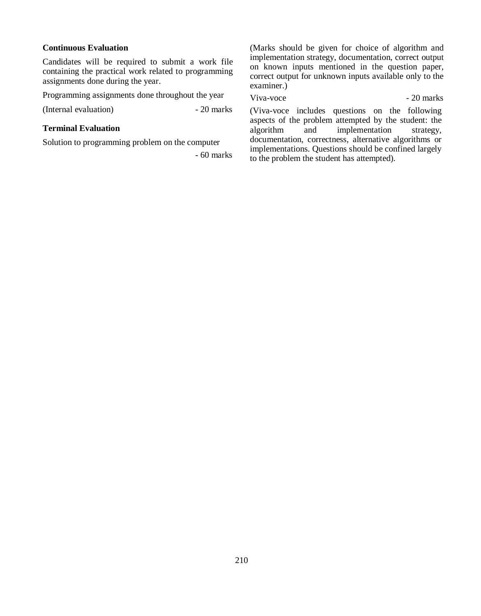# **Continuous Evaluation**

Candidates will be required to submit a work file containing the practical work related to programming assignments done during the year.

Programming assignments done throughout the year

(Internal evaluation) - 20 marks

## **Terminal Evaluation**

Solution to programming problem on the computer

- 60 marks

(Marks should be given for choice of algorithm and implementation strategy, documentation, correct output on known inputs mentioned in the question paper, correct output for unknown inputs available only to the examiner.)

Viva-voce 20 marks

(Viva-voce includes questions on the following aspects of the problem attempted by the student: the algorithm and implementation strategy, documentation, correctness, alternative algorithms or implementations. Questions should be confined largely to the problem the student has attempted).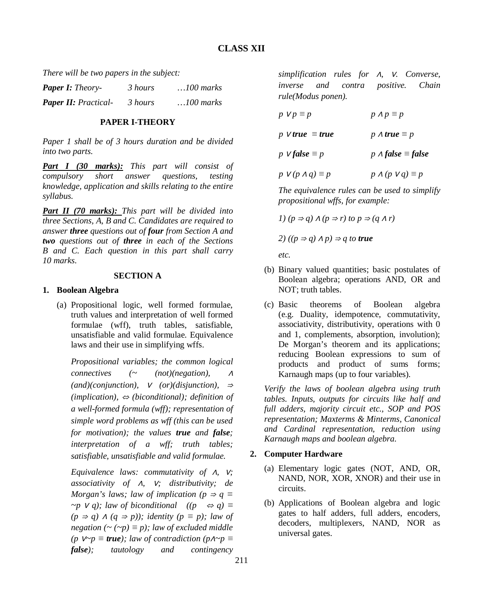*There will be two papers in the subject:*

| <b>Paper I:</b> Theory-     | 3 hours | $\ldots$ 100 marks |
|-----------------------------|---------|--------------------|
| <b>Paper II:</b> Practical- | 3 hours | $\ldots$ 100 marks |

## **PAPER I-THEORY**

*Paper 1 shall be of 3 hours duration and be divided into two parts.*

*Part I (30 marks): This part will consist of compulsory short answer questions, testing knowledge, application and skills relating to the entire syllabus.*

*Part II (70 marks): This part will be divided into three Sections, A, B and C. Candidates are required to answer three questions out of four from Section A and two questions out of three in each of the Sections B and C. Each question in this part shall carry 10 marks.*

## **SECTION A**

## **1. Boolean Algebra**

(a) Propositional logic, well formed formulae, truth values and interpretation of well formed formulae (wff), truth tables, satisfiable, unsatisfiable and valid formulae. Equivalence laws and their use in simplifying wffs.

*Propositional variables; the common logical connectives (~ (not)(negation), <sup>∧</sup> (and)(conjunction), ∨ (or)(disjunction), <sup>⇒</sup> (implication), ⇔ (biconditional); definition of a well-formed formula (wff); representation of simple word problems as wff (this can be used for motivation); the values true and false; interpretation of a wff; truth tables; satisfiable, unsatisfiable and valid formulae.* 

*Equivalence laws: commutativity of ∧, ∨; associativity of ∧, ∨; distributivity; de Morgan's laws; law of implication (p*  $\Rightarrow$  *q*  $\equiv$  $\sim$ *p*  $\vee$  *q*); law of biconditional ((p  $\Leftrightarrow$  *q*) ≡ *(p ⇒ q) ∧ (q ⇒ p)); identity (p ≡ p); law of negation*  $({\sim}$  ( ${\sim}p) \equiv p$ ); law of excluded middle *(p*  $V \sim p$  ≡ *true); law of contradiction (p* $\Lambda \sim p$  ≡ *false); tautology and contingency* 

*simplification rules for ∧, ∨. Converse, inverse and contra positive. Chain rule(Modus ponen).*

| $p \vee p \equiv p$                | $p \wedge p \equiv p$            |
|------------------------------------|----------------------------------|
| p V true $\equiv$ true             | $p \wedge true \equiv p$         |
| p <b><i>v</i></b> false $\equiv p$ | p $\Lambda$ false $\equiv$ false |
| $p \, V(p \wedge q) \equiv p$      | $p \wedge (p \vee q) \equiv p$   |

*The equivalence rules can be used to simplify propositional wffs, for example:*

$$
I)(p \Rightarrow q) \land (p \Rightarrow r) \text{ to } p \Rightarrow (q \land r)
$$

2) 
$$
((p \Rightarrow q) \land p) \Rightarrow q
$$
 to true

*etc.*

- (b) Binary valued quantities; basic postulates of Boolean algebra; operations AND, OR and NOT; truth tables.
- (c) Basic theorems of Boolean algebra (e.g. Duality, idempotence, commutativity, associativity, distributivity, operations with 0 and 1, complements, absorption, involution); De Morgan's theorem and its applications; reducing Boolean expressions to sum of products and product of sums forms; Karnaugh maps (up to four variables).

*Verify the laws of boolean algebra using truth tables. Inputs, outputs for circuits like half and full adders, majority circuit etc., SOP and POS representation; Maxterms & Minterms, Canonical and Cardinal representation, reduction using Karnaugh maps and boolean algebra.*

# **2. Computer Hardware**

- (a) Elementary logic gates (NOT, AND, OR, NAND, NOR, XOR, XNOR) and their use in circuits.
- (b) Applications of Boolean algebra and logic gates to half adders, full adders, encoders, decoders, multiplexers, NAND, NOR as universal gates.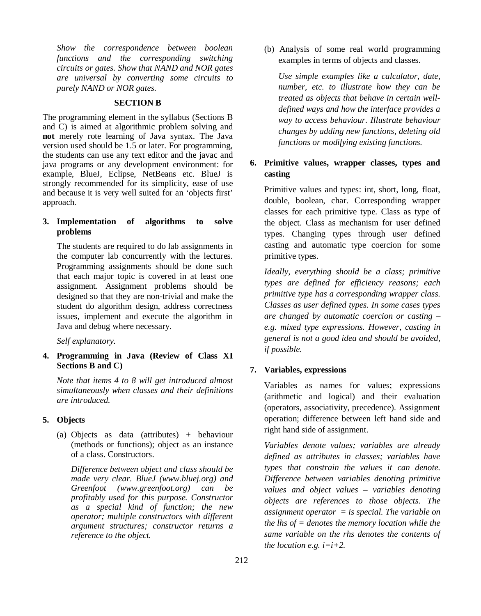*Show the correspondence between boolean functions and the corresponding switching circuits or gates. Show that NAND and NOR gates are universal by converting some circuits to purely NAND or NOR gates.*

### **SECTION B**

The programming element in the syllabus (Sections B and C) is aimed at algorithmic problem solving and **not** merely rote learning of Java syntax. The Java version used should be 1.5 or later. For programming, the students can use any text editor and the javac and java programs or any development environment: for example, BlueJ, Eclipse, NetBeans etc. BlueJ is strongly recommended for its simplicity, ease of use and because it is very well suited for an 'objects first' approach.

## **3. Implementation of algorithms to solve problems**

The students are required to do lab assignments in the computer lab concurrently with the lectures. Programming assignments should be done such that each major topic is covered in at least one assignment. Assignment problems should be designed so that they are non-trivial and make the student do algorithm design, address correctness issues, implement and execute the algorithm in Java and debug where necessary.

*Self explanatory.*

# **4. Programming in Java (Review of Class XI Sections B and C)**

*Note that items 4 to 8 will get introduced almost simultaneously when classes and their definitions are introduced.*

### **5. Objects**

(a) Objects as data (attributes) + behaviour (methods or functions); object as an instance of a class. Constructors.

*Difference between object and class should be made very clear. BlueJ (www.bluej.org) and Greenfoot (www.greenfoot.org) can be profitably used for this purpose. Constructor as a special kind of function; the new operator; multiple constructors with different argument structures; constructor returns a reference to the object.*

(b) Analysis of some real world programming examples in terms of objects and classes.

*Use simple examples like a calculator, date, number, etc. to illustrate how they can be treated as objects that behave in certain welldefined ways and how the interface provides a way to access behaviour. Illustrate behaviour changes by adding new functions, deleting old functions or modifying existing functions.*

# **6. Primitive values, wrapper classes, types and casting**

Primitive values and types: int, short, long, float, double, boolean, char. Corresponding wrapper classes for each primitive type. Class as type of the object. Class as mechanism for user defined types. Changing types through user defined casting and automatic type coercion for some primitive types.

*Ideally, everything should be a class; primitive types are defined for efficiency reasons; each primitive type has a corresponding wrapper class. Classes as user defined types. In some cases types are changed by automatic coercion or casting – e.g. mixed type expressions. However, casting in general is not a good idea and should be avoided, if possible.*

## **7. Variables, expressions**

Variables as names for values; expressions (arithmetic and logical) and their evaluation (operators, associativity, precedence). Assignment operation; difference between left hand side and right hand side of assignment.

*Variables denote values; variables are already defined as attributes in classes; variables have types that constrain the values it can denote. Difference between variables denoting primitive values and object values – variables denoting objects are references to those objects. The assignment operator = is special. The variable on the lhs of = denotes the memory location while the same variable on the rhs denotes the contents of the location e.g. i=i+2.*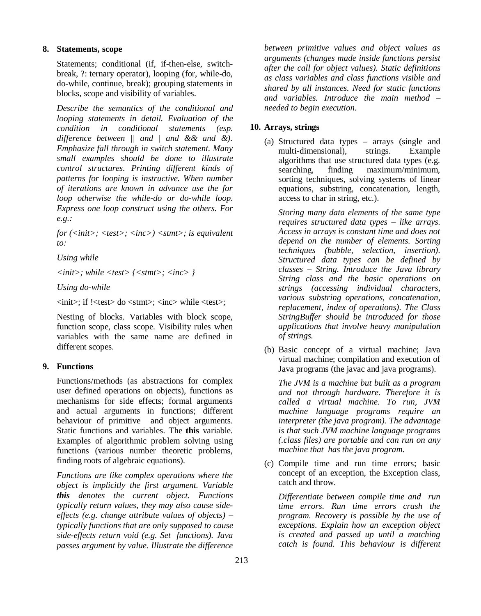# **8. Statements, scope**

Statements; conditional (if, if-then-else, switchbreak, ?: ternary operator), looping (for, while-do, do-while, continue, break); grouping statements in blocks, scope and visibility of variables.

*Describe the semantics of the conditional and looping statements in detail. Evaluation of the condition in conditional statements (esp. difference between || and | and && and &). Emphasize fall through in switch statement. Many small examples should be done to illustrate control structures. Printing different kinds of patterns for looping is instructive. When number of iterations are known in advance use the for loop otherwise the while-do or do-while loop. Express one loop construct using the others. For e.g.:*

*for (<init>; <test>; <inc>) <stmt>; is equivalent to:*

*Using while*

*<init>; while <test> {<stmt>; <inc> }*

*Using do-while*

<init>; if !<test> do <stmt>; <inc> while <test>;

Nesting of blocks. Variables with block scope, function scope, class scope. Visibility rules when variables with the same name are defined in different scopes.

# **9. Functions**

Functions/methods (as abstractions for complex user defined operations on objects), functions as mechanisms for side effects; formal arguments and actual arguments in functions; different behaviour of primitive and object arguments. Static functions and variables. The **this** variable. Examples of algorithmic problem solving using functions (various number theoretic problems, finding roots of algebraic equations).

*Functions are like complex operations where the object is implicitly the first argument. Variable this denotes the current object. Functions typically return values, they may also cause sideeffects (e.g. change attribute values of objects) – typically functions that are only supposed to cause side-effects return void (e.g. Set functions). Java passes argument by value. Illustrate the difference*  *between primitive values and object values as arguments (changes made inside functions persist after the call for object values). Static definitions as class variables and class functions visible and shared by all instances. Need for static functions and variables. Introduce the main method – needed to begin execution.* 

# **10. Arrays, strings**

(a) Structured data types – arrays (single and multi-dimensional), strings. Example algorithms that use structured data types (e.g. searching, finding maximum/minimum, sorting techniques, solving systems of linear equations, substring, concatenation, length, access to char in string, etc.).

*Storing many data elements of the same type requires structured data types – like arrays. Access in arrays is constant time and does not depend on the number of elements. Sorting techniques (bubble, selection, insertion). Structured data types can be defined by classes – String. Introduce the Java library String class and the basic operations on strings (accessing individual characters, various substring operations, concatenation, replacement, index of operations). The Class StringBuffer should be introduced for those applications that involve heavy manipulation of strings.* 

(b) Basic concept of a virtual machine; Java virtual machine; compilation and execution of Java programs (the javac and java programs).

*The JVM is a machine but built as a program and not through hardware. Therefore it is called a virtual machine. To run, JVM machine language programs require an interpreter (the java program). The advantage is that such JVM machine language programs (.class files) are portable and can run on any machine that has the java program.*

(c) Compile time and run time errors; basic concept of an exception, the Exception class, catch and throw.

*Differentiate between compile time and run time errors. Run time errors crash the program. Recovery is possible by the use of exceptions. Explain how an exception object is created and passed up until a matching catch is found. This behaviour is different*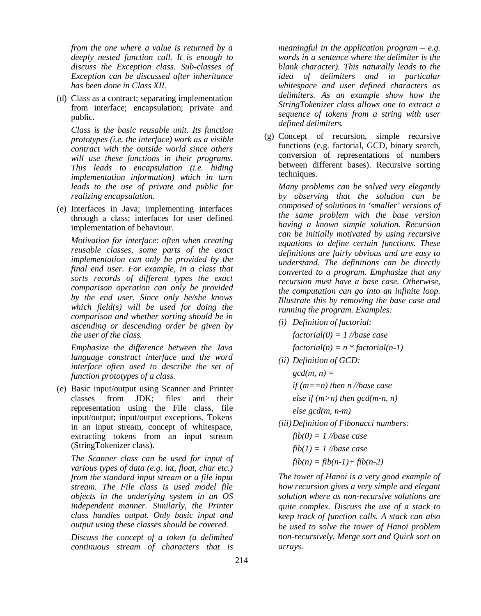*from the one where a value is returned by a deeply nested function call. It is enough to discuss the Exception class. Sub-classes of Exception can be discussed after inheritance has been done in Class XII.*

(d) Class as a contract; separating implementation from interface; encapsulation; private and public.

*Class is the basic reusable unit. Its function prototypes (i.e. the interface) work as a visible contract with the outside world since others will use these functions in their programs. This leads to encapsulation (i.e. hiding implementation information) which in turn leads to the use of private and public for realizing encapsulation.*

(e) Interfaces in Java; implementing interfaces through a class; interfaces for user defined implementation of behaviour.

*Motivation for interface: often when creating reusable classes, some parts of the exact implementation can only be provided by the final end user. For example, in a class that sorts records of different types the exact comparison operation can only be provided by the end user. Since only he/she knows which field(s) will be used for doing the comparison and whether sorting should be in ascending or descending order be given by the user of the class.*

*Emphasize the difference between the Java language construct interface and the word interface often used to describe the set of function prototypes of a class.*

(e) Basic input/output using Scanner and Printer classes from JDK; files and their representation using the File class, file input/output; input/output exceptions. Tokens in an input stream, concept of whitespace, extracting tokens from an input stream (StringTokenizer class).

*The Scanner class can be used for input of various types of data (e.g. int, float, char etc.) from the standard input stream or a file input stream. The File class is used model file objects in the underlying system in an OS independent manner. Similarly, the Printer class handles output. Only basic input and output using these classes should be covered.*

*Discuss the concept of a token (a delimited continuous stream of characters that is* 

*meaningful in the application program – e.g. words in a sentence where the delimiter is the blank character). This naturally leads to the idea of delimiters and in particular whitespace and user defined characters as delimiters. As an example show how the StringTokenizer class allows one to extract a sequence of tokens from a string with user defined delimiters.*

(g) Concept of recursion, simple recursive functions (e.g. factorial, GCD, binary search, conversion of representations of numbers between different bases). Recursive sorting techniques.

*Many problems can be solved very elegantly by observing that the solution can be composed of solutions to 'smaller' versions of the same problem with the base version having a known simple solution. Recursion can be initially motivated by using recursive equations to define certain functions. These definitions are fairly obvious and are easy to understand. The definitions can be directly converted to a program. Emphasize that any recursion must have a base case. Otherwise, the computation can go into an infinite loop. Illustrate this by removing the base case and running the program. Examples:*

*(i) Definition of factorial:*

*factorial(0) = 1 //base case factorial(n) = n \* factorial(n-1)*

*(ii) Definition of GCD:*

*gcd(m, n) = if (m==n) then n //base case else if (m>n) then gcd(m-n, n) else gcd(m, n-m)*

- *(iii)Definition of Fibonacci numbers:*
	- *fib(0) = 1 //base case*
	- *fib(1) = 1 //base case*
	- $fib(n) = fib(n-1) + fib(n-2)$

*The tower of Hanoi is a very good example of how recursion gives a very simple and elegant solution where as non-recursive solutions are quite complex. Discuss the use of a stack to keep track of function calls. A stack can also be used to solve the tower of Hanoi problem non-recursively. Merge sort and Quick sort on arrays.*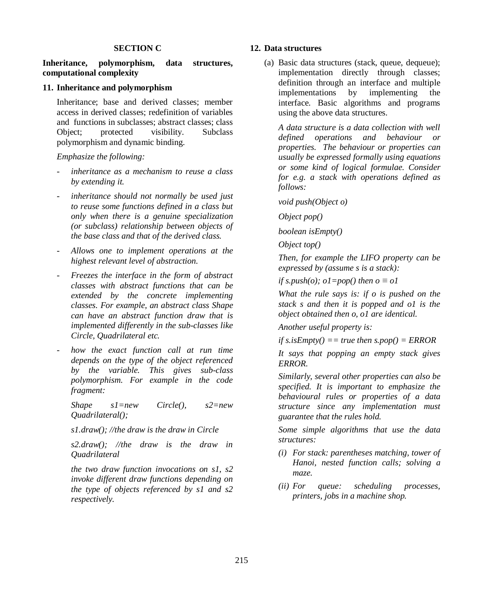#### **SECTION C**

## **Inheritance, polymorphism, data structures, computational complexity**

#### **11. Inheritance and polymorphism**

Inheritance; base and derived classes; member access in derived classes; redefinition of variables and functions in subclasses; abstract classes; class Object; protected visibility. Subclass polymorphism and dynamic binding.

*Emphasize the following:*

- *- inheritance as a mechanism to reuse a class by extending it.*
- *- inheritance should not normally be used just to reuse some functions defined in a class but only when there is a genuine specialization (or subclass) relationship between objects of the base class and that of the derived class.*
- *- Allows one to implement operations at the highest relevant level of abstraction.*
- *- Freezes the interface in the form of abstract classes with abstract functions that can be extended by the concrete implementing classes. For example, an abstract class Shape can have an abstract function draw that is implemented differently in the sub-classes like Circle, Quadrilateral etc.*
- *- how the exact function call at run time depends on the type of the object referenced by the variable. This gives sub-class polymorphism. For example in the code fragment:*

*Shape s1=new Circle(), s2=new Quadrilateral();*

*s1.draw(); //the draw is the draw in Circle*

*s2.draw(); //the draw is the draw in Quadrilateral*

*the two draw function invocations on s1, s2 invoke different draw functions depending on the type of objects referenced by s1 and s2 respectively.*

### **12. Data structures**

(a) Basic data structures (stack, queue, dequeue); implementation directly through classes; definition through an interface and multiple implementations by implementing the interface. Basic algorithms and programs using the above data structures.

*A data structure is a data collection with well defined operations and behaviour or properties. The behaviour or properties can usually be expressed formally using equations or some kind of logical formulae. Consider for e.g. a stack with operations defined as follows:*

*void push(Object o)*

*Object pop()*

*boolean isEmpty()*

*Object top()*

*Then, for example the LIFO property can be expressed by (assume s is a stack):*

*if s.push(o); o1=pop() then o*  $\equiv$  *o1* 

*What the rule says is: if o is pushed on the stack s and then it is popped and o1 is the object obtained then o, o1 are identical.*

*Another useful property is:*

*if s.isEmpty() == true then s.pop() = ERROR*

*It says that popping an empty stack gives ERROR.*

*Similarly, several other properties can also be specified. It is important to emphasize the behavioural rules or properties of a data structure since any implementation must guarantee that the rules hold.*

*Some simple algorithms that use the data structures:*

- *(i) For stack: parentheses matching, tower of Hanoi, nested function calls; solving a maze.*
- *(ii) For queue: scheduling processes, printers, jobs in a machine shop.*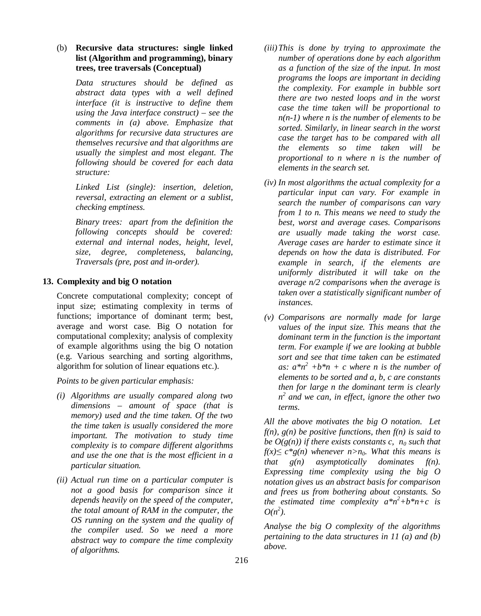# (b) **Recursive data structures: single linked list (Algorithm and programming), binary trees, tree traversals (Conceptual)**

*Data structures should be defined as abstract data types with a well defined interface (it is instructive to define them using the Java interface construct) – see the comments in (a) above. Emphasize that algorithms for recursive data structures are themselves recursive and that algorithms are usually the simplest and most elegant. The following should be covered for each data structure:*

*Linked List (single): insertion, deletion, reversal, extracting an element or a sublist, checking emptiness.* 

*Binary trees: apart from the definition the following concepts should be covered: external and internal nodes, height, level, size, degree, completeness, balancing, Traversals (pre, post and in-order).* 

## **13. Complexity and big O notation**

Concrete computational complexity; concept of input size; estimating complexity in terms of functions; importance of dominant term; best, average and worst case. Big O notation for computational complexity; analysis of complexity of example algorithms using the big O notation (e.g. Various searching and sorting algorithms, algorithm for solution of linear equations etc.).

*Points to be given particular emphasis:*

- *(i) Algorithms are usually compared along two dimensions – amount of space (that is memory) used and the time taken. Of the two the time taken is usually considered the more important. The motivation to study time complexity is to compare different algorithms and use the one that is the most efficient in a particular situation.*
- *(ii) Actual run time on a particular computer is not a good basis for comparison since it depends heavily on the speed of the computer, the total amount of RAM in the computer, the OS running on the system and the quality of the compiler used. So we need a more abstract way to compare the time complexity of algorithms.*
- *(iii)This is done by trying to approximate the number of operations done by each algorithm as a function of the size of the input. In most programs the loops are important in deciding the complexity. For example in bubble sort there are two nested loops and in the worst case the time taken will be proportional to n(n-1) where n is the number of elements to be sorted. Similarly, in linear search in the worst case the target has to be compared with all the elements so time taken will be proportional to n where n is the number of elements in the search set.*
- *(iv) In most algorithms the actual complexity for a particular input can vary. For example in search the number of comparisons can vary from 1 to n. This means we need to study the best, worst and average cases. Comparisons are usually made taking the worst case. Average cases are harder to estimate since it depends on how the data is distributed. For example in search, if the elements are uniformly distributed it will take on the average n/2 comparisons when the average is taken over a statistically significant number of instances.*
- *(v) Comparisons are normally made for large values of the input size. This means that the dominant term in the function is the important term. For example if we are looking at bubble sort and see that time taken can be estimated*  as:  $a^*n^2 + b^*n + c$  where *n* is the number of *elements to be sorted and a, b, c are constants then for large n the dominant term is clearly n 2 and we can, in effect, ignore the other two terms.*

*All the above motivates the big O notation. Let f(n), g(n) be positive functions, then f(n) is said to be*  $O(g(n))$  *if there exists constants c,*  $n_0$  *such that f(x)* $\leq$  *c\*g(n)* whenever *n*>*n*<sub>0</sub>*.* What this means is *that g(n) asymptotically dominates f(n). Expressing time complexity using the big O notation gives us an abstract basis for comparison and frees us from bothering about constants. So the estimated time complexity*  $a^*n^2+b^*n+c$  *is*  $O(n^2)$ .

*Analyse the big O complexity of the algorithms pertaining to the data structures in 11 (a) and (b) above.*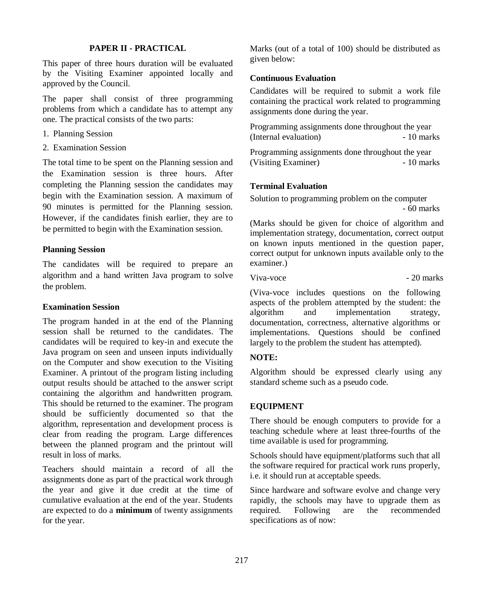### **PAPER II - PRACTICAL**

This paper of three hours duration will be evaluated by the Visiting Examiner appointed locally and approved by the Council.

The paper shall consist of three programming problems from which a candidate has to attempt any one. The practical consists of the two parts:

- 1. Planning Session
- 2. Examination Session

The total time to be spent on the Planning session and the Examination session is three hours. After completing the Planning session the candidates may begin with the Examination session. A maximum of 90 minutes is permitted for the Planning session. However, if the candidates finish earlier, they are to be permitted to begin with the Examination session.

## **Planning Session**

The candidates will be required to prepare an algorithm and a hand written Java program to solve the problem.

#### **Examination Session**

The program handed in at the end of the Planning session shall be returned to the candidates. The candidates will be required to key-in and execute the Java program on seen and unseen inputs individually on the Computer and show execution to the Visiting Examiner. A printout of the program listing including output results should be attached to the answer script containing the algorithm and handwritten program. This should be returned to the examiner. The program should be sufficiently documented so that the algorithm, representation and development process is clear from reading the program. Large differences between the planned program and the printout will result in loss of marks.

Teachers should maintain a record of all the assignments done as part of the practical work through the year and give it due credit at the time of cumulative evaluation at the end of the year. Students are expected to do a **minimum** of twenty assignments for the year.

Marks (out of a total of 100) should be distributed as given below:

#### **Continuous Evaluation**

Candidates will be required to submit a work file containing the practical work related to programming assignments done during the year.

Programming assignments done throughout the year (Internal evaluation)  $-10$  marks

Programming assignments done throughout the year (Visiting Examiner) - 10 marks

# **Terminal Evaluation**

Solution to programming problem on the computer - 60 marks

(Marks should be given for choice of algorithm and implementation strategy, documentation, correct output on known inputs mentioned in the question paper, correct output for unknown inputs available only to the examiner.)

Viva-voce - 20 marks

(Viva-voce includes questions on the following aspects of the problem attempted by the student: the algorithm and implementation strategy, documentation, correctness, alternative algorithms or implementations. Questions should be confined largely to the problem the student has attempted).

# **NOTE:**

Algorithm should be expressed clearly using any standard scheme such as a pseudo code.

### **EQUIPMENT**

There should be enough computers to provide for a teaching schedule where at least three-fourths of the time available is used for programming.

Schools should have equipment/platforms such that all the software required for practical work runs properly, i.e. it should run at acceptable speeds.

Since hardware and software evolve and change very rapidly, the schools may have to upgrade them as required. Following are the recommended specifications as of now: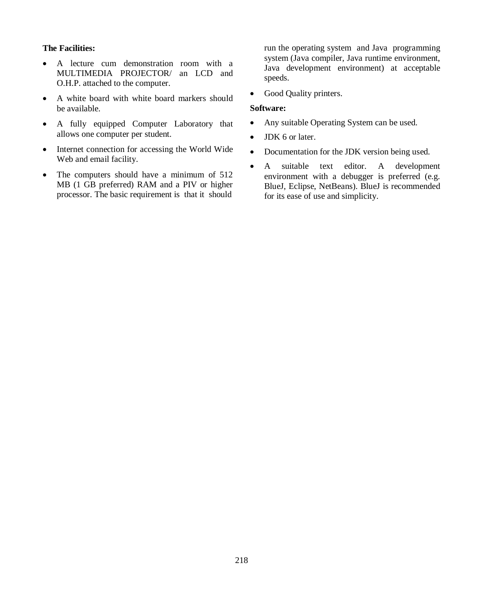# **The Facilities:**

- A lecture cum demonstration room with a MULTIMEDIA PROJECTOR/ an LCD and O.H.P. attached to the computer.
- A white board with white board markers should be available.
- A fully equipped Computer Laboratory that allows one computer per student.
- Internet connection for accessing the World Wide Web and email facility.
- The computers should have a minimum of 512 MB (1 GB preferred) RAM and a PIV or higher processor. The basic requirement is that it should

run the operating system and Java programming system (Java compiler, Java runtime environment, Java development environment) at acceptable speeds.

• Good Quality printers.

#### **Software:**

- Any suitable Operating System can be used.
- JDK 6 or later.
- Documentation for the JDK version being used.
- A suitable text editor. A development environment with a debugger is preferred (e.g. BlueJ, Eclipse, NetBeans). BlueJ is recommended for its ease of use and simplicity.